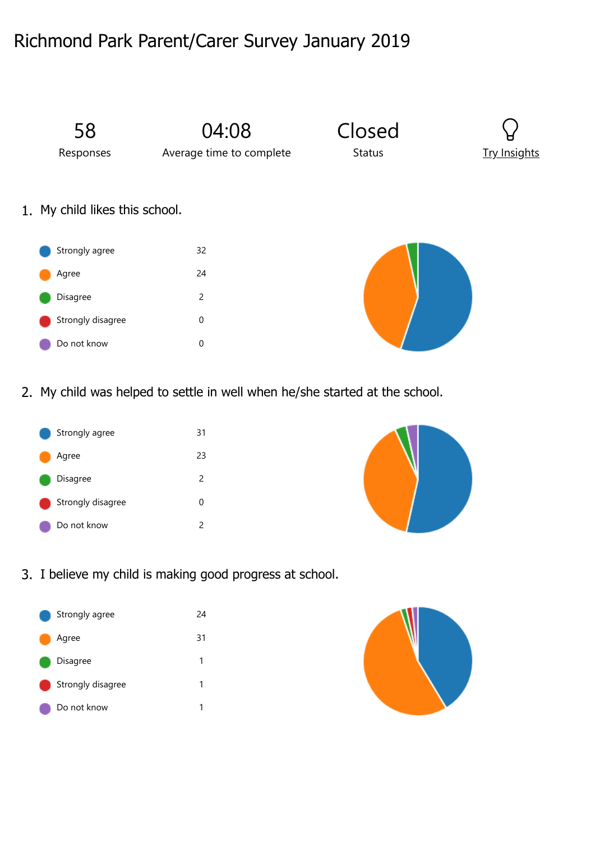## Richmond Park Parent/Carer Survey January 2019



2. My child was helped to settle in well when he/she started at the school.





3. I believe my child is making good progress at school.



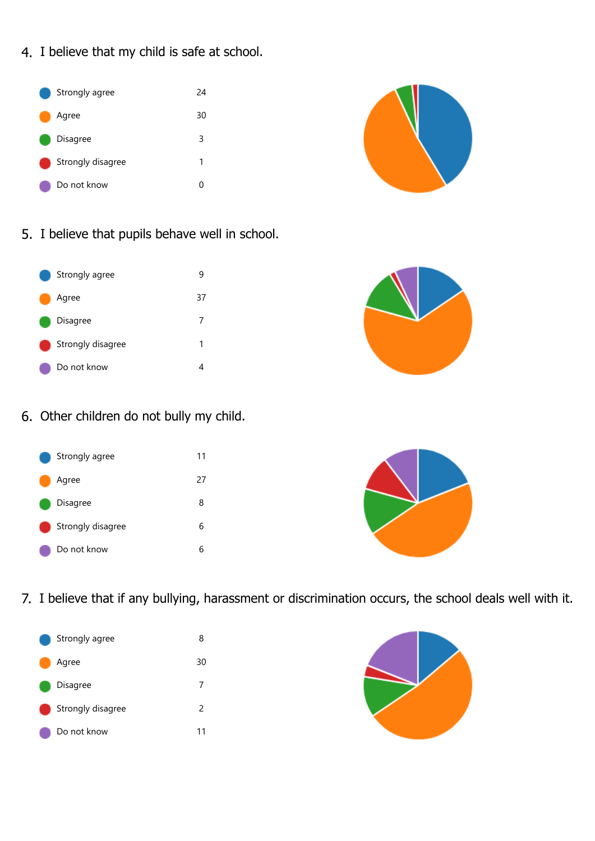4. I believe that my child is safe at school.



5. I believe that pupils behave well in school.

| Strongly agree    | ч  |
|-------------------|----|
| Agree             | 37 |
| Disagree          | 7  |
| Strongly disagree | 1  |
| Do not know       |    |



6. Other children do not bully my child.





7. I believe that if any bullying, harassment or discrimination occurs, the school deals well with it.



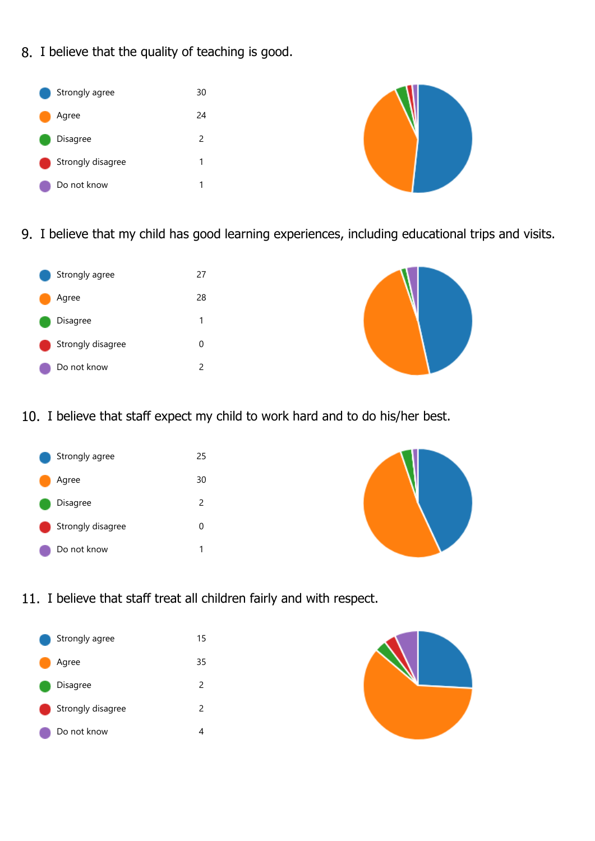8. I believe that the quality of teaching is good.



9. I believe that my child has good learning experiences, including educational trips and visits.

| Strongly agree    | 27 |
|-------------------|----|
| Agree             | 28 |
| Disagree          | 1  |
| Strongly disagree | 0  |
| Do not know       | 2  |
|                   |    |



10. I believe that staff expect my child to work hard and to do his/her best.





11. I believe that staff treat all children fairly and with respect.



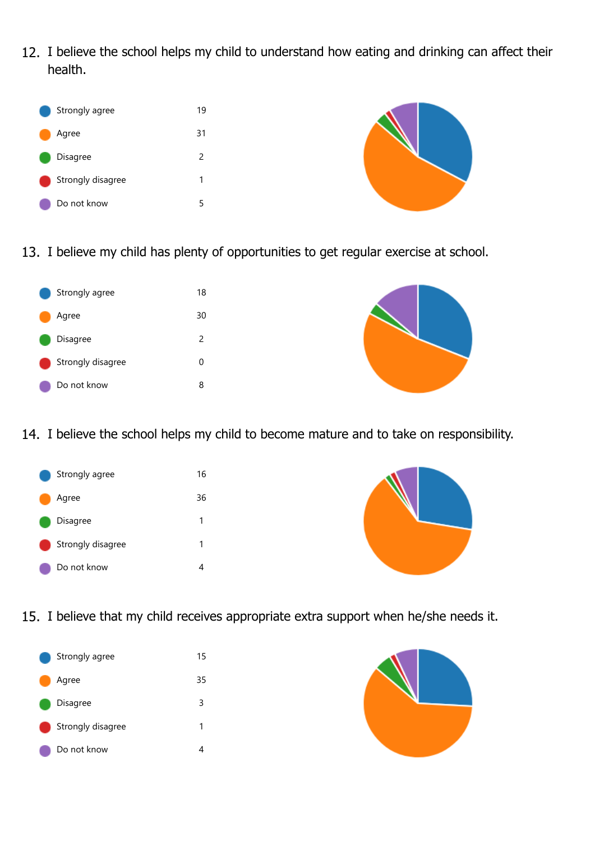12. I believe the school helps my child to understand how eating and drinking can affect their health.



13. I believe my child has plenty of opportunities to get regular exercise at school.





14. I believe the school helps my child to become mature and to take on responsibility.





15. I believe that my child receives appropriate extra support when he/she needs it.



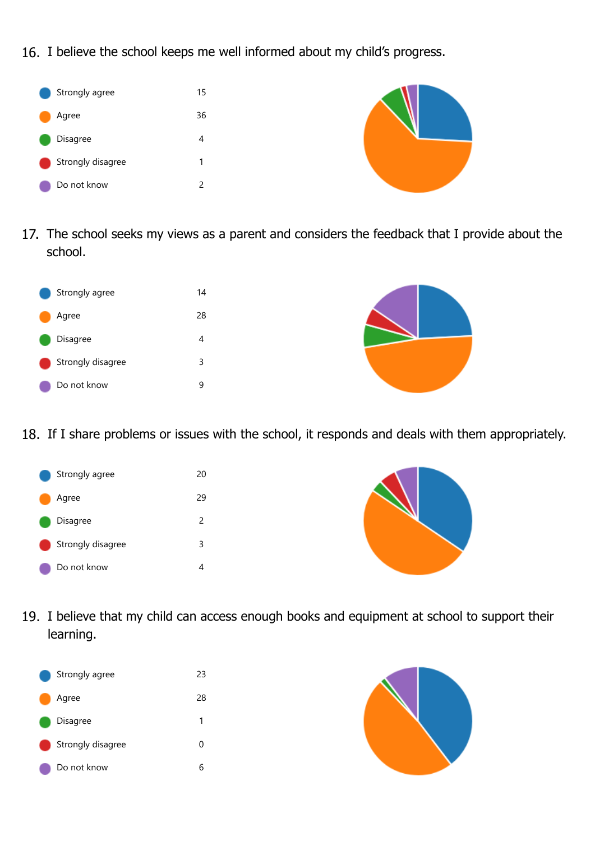16. I believe the school keeps me well informed about my child's progress.



17. The school seeks my views as a parent and considers the feedback that I provide about the school.





18. If I share problems or issues with the school, it responds and deals with them appropriately.





19. I believe that my child can access enough books and equipment at school to support their learning.